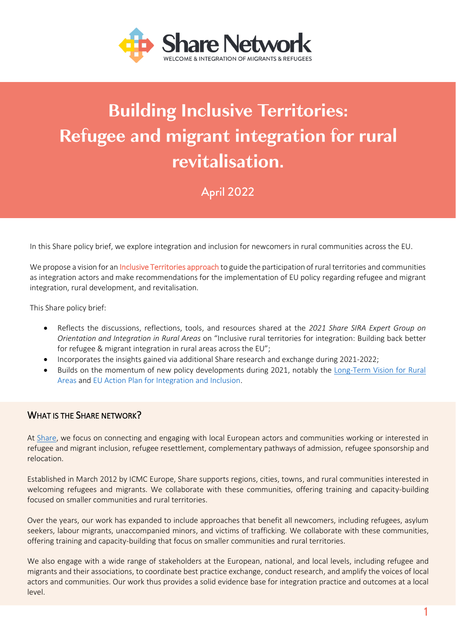

# **Building Inclusive Territories:** Refugee and migrant integration for rural revitalisation.

April 2022

In this Share policy brief, we explore integration and inclusion for newcomers in rural communities across the EU.

We propose a vision for an Inclusive Territories approach to guide the participation of rural territories and communities as integration actors and make recommendations for the implementation of EU policy regarding refugee and migrant integration, rural development, and revitalisation.

This Share policy brief:

- Reflects the discussions, reflections, tools, and resources shared at the *2021 Share SIRA Expert Group on Orientation and Integration in Rural Areas* on "Inclusive rural territories for integration: Building back better for refugee & migrant integration in rural areas across the EU";
- Incorporates the insights gained via additional Share research and exchange during 2021-2022;
- Builds on the momentum of new policy developments during 2021, notably the [Long-Term Vision for Rural](https://ec.europa.eu/info/strategy/priorities-2019-2024/new-push-european-democracy/long-term-vision-rural-areas_en)  [Areas](https://ec.europa.eu/info/strategy/priorities-2019-2024/new-push-european-democracy/long-term-vision-rural-areas_en) and [EU Action Plan for Integration and Inclusion.](https://eur-lex.europa.eu/legal-content/EN/TXT/PDF/?uri=CELEX:52020DC0758&from=EN)

### WHAT IS THE SHARE NETWORK?

At [Share,](https://www.share-network.eu/sira-project) we focus on connecting and engaging with local European actors and communities working or interested in refugee and migrant inclusion, refugee resettlement, complementary pathways of admission, refugee sponsorship and relocation.

Established in March 2012 by ICMC Europe, Share supports regions, cities, towns, and rural communities interested in welcoming refugees and migrants. We collaborate with these communities, offering training and capacity-building focused on smaller communities and rural territories.

Over the years, our work has expanded to include approaches that benefit all newcomers, including refugees, asylum seekers, labour migrants, unaccompanied minors, and victims of trafficking. We collaborate with these communities, offering training and capacity-building that focus on smaller communities and rural territories.

We also engage with a wide range of stakeholders at the European, national, and local levels, including refugee and migrants and their associations, to coordinate best practice exchange, conduct research, and amplify the voices of local actors and communities. Our work thus provides a solid evidence base for integration practice and outcomes at a local level.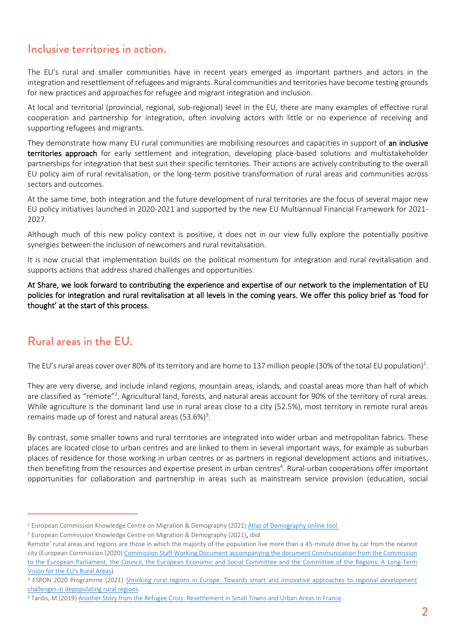### Inclusive territories in action.

The EU's rural and smaller communities have in recent years emerged as important partners and actors in the integration and resettlement of refugees and migrants. Rural communities and territories have become testing grounds for new practices and approaches for refugee and migrant integration and inclusion.

At local and territorial (provincial, regional, sub-regional) level in the EU, there are many examples of effective rural cooperation and partnership for integration, often involving actors with little or no experience of receiving and supporting refugees and migrants.

They demonstrate how many EU rural communities are mobilising resources and capacities in support of an inclusive territories approach for early settlement and integration, developing place-based solutions and multistakeholder partnerships for integration that best suit their specific territories. Their actions are actively contributing to the overall EU policy aim of rural revitalisation, or the long-term positive transformation of rural areas and communities across sectors and outcomes.

At the same time, both integration and the future development of rural territories are the focus of several major new EU policy initiatives launched in 2020-2021 and supported by the new EU Multiannual Financial Framework for 2021- 2027.

Although much of this new policy context is positive, it does not in our view fully explore the potentially positive synergies between the inclusion of newcomers and rural revitalisation.

It is now crucial that implementation builds on the political momentum for integration and rural revitalisation and supports actions that address shared challenges and opportunities.

At Share, we look forward to contributing the experience and expertise of our network to the implementation of EU policies for integration and rural revitalisation at all levels in the coming years. We offer this policy brief as 'food for thought' at the start of this process.

### Rural areas in the EU.

The EU's rural areas cover over 80% of its territory and are home to 137 million people (30% of the total EU population)<sup>1</sup>.

They are very diverse, and include inland regions, mountain areas, islands, and coastal areas more than half of which are classified as "remote"<sup>2</sup>. Agricultural land, forests, and natural areas account for 90% of the territory of rural areas. While agriculture is the dominant land use in rural areas close to a city (52.5%), most territory in remote rural areas remains made up of forest and natural areas (53.6%)<sup>3</sup>.

By contrast, some smaller towns and rural territories are integrated into wider urban and metropolitan fabrics. These places are located close to urban centres and are linked to them in several important ways, for example as suburban places of residence for those working in urban centres or as partners in regional development actions and initiatives, then benefiting from the resources and expertise present in urban centres<sup>4</sup>. Rural-urban cooperations offer important opportunities for collaboration and partnership in areas such as mainstream service provision (education, social

<sup>1</sup> European Commission Knowledge Centre on Migration & Demography (2021) [Atlas of Demography online tool.](https://knowledge4policy.ec.europa.eu/atlas-demography_en)

<sup>2</sup> European Commission Knowledge Centre on Migration & Demography (2021), *ibid.*

Remote' rural areas and regions are those in which the majority of the population live more than a 45-minute drive by car from the nearest city (European Commission (2020[\) Commission Staff Working Document accompanying the document Communication from the Commission](https://eur-lex.europa.eu/resource.html?uri=cellar:85c42627-da52-11eb-895a-01aa75ed71a1.0001.02/DOC_1&format=PDF)  [to the European Parliament, the Council, the European Economic and Social Committee and the Committee of the Regions: A Long-Term](https://eur-lex.europa.eu/resource.html?uri=cellar:85c42627-da52-11eb-895a-01aa75ed71a1.0001.02/DOC_1&format=PDF)  [Vision for the EU's Rural Areas\)](https://eur-lex.europa.eu/resource.html?uri=cellar:85c42627-da52-11eb-895a-01aa75ed71a1.0001.02/DOC_1&format=PDF).

<sup>&</sup>lt;sup>3</sup> ESPON 2020 Programme (2021) [Shrinking rural regions in Europe: Towards smart and innovative approaches to regional development](https://www.espon.eu/sites/default/files/attachments/ESPON%20Policy%20Brief%20on%20Shrinking%20Rural%20Regions.pdf) [challenges in depopulating rural regions.](https://www.espon.eu/sites/default/files/attachments/ESPON%20Policy%20Brief%20on%20Shrinking%20Rural%20Regions.pdf) 

<sup>4</sup> Tardis, M (2019[\) Another Story from the Refugee Crisis: Resettlement in Small Towns and Urban Areas in France.](https://www.ifri.org/sites/default/files/atoms/files/tardis_refugees_small_towns_france_2019.pdf)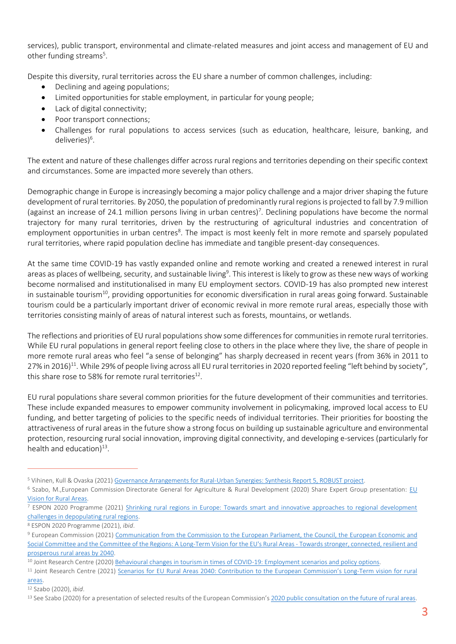services), public transport, environmental and climate-related measures and joint access and management of EU and other funding streams<sup>5</sup>.

Despite this diversity, rural territories across the EU share a number of common challenges, including:

- Declining and ageing populations;
- Limited opportunities for stable employment, in particular for young people;
- Lack of digital connectivity;
- Poor transport connections;
- Challenges for rural populations to access services (such as education, healthcare, leisure, banking, and deliveries)<sup>6</sup>.

The extent and nature of these challenges differ across rural regions and territories depending on their specific context and circumstances. Some are impacted more severely than others.

Demographic change in Europe is increasingly becoming a major policy challenge and a major driver shaping the future development of rural territories. By 2050, the population of predominantly rural regions is projected to fall by 7.9 million (against an increase of 24.1 million persons living in urban centres)<sup>7</sup>. Declining populations have become the normal trajectory for many rural territories, driven by the restructuring of agricultural industries and concentration of employment opportunities in urban centres<sup>8</sup>. The impact is most keenly felt in more remote and sparsely populated rural territories, where rapid population decline has immediate and tangible present-day consequences.

At the same time COVID-19 has vastly expanded online and remote working and created a renewed interest in rural areas as places of wellbeing, security, and sustainable living<sup>9</sup>. This interest is likely to grow as these new ways of working become normalised and institutionalised in many EU employment sectors. COVID-19 has also prompted new interest in sustainable tourism<sup>10</sup>, providing opportunities for economic diversification in rural areas going forward. Sustainable tourism could be a particularly important driver of economic revival in more remote rural areas, especially those with territories consisting mainly of areas of natural interest such as forests, mountains, or wetlands.

The reflections and priorities of EU rural populations show some differences for communities in remote rural territories. While EU rural populations in general report feeling close to others in the place where they live, the share of people in more remote rural areas who feel "a sense of belonging" has sharply decreased in recent years (from 36% in 2011 to 27% in 2016)<sup>11</sup>. While 29% of people living across all EU rural territories in 2020 reported feeling "left behind by society", this share rose to 58% for remote rural territories $^{\text{12}}$ .

EU rural populations share several common priorities for the future development of their communities and territories. These include expanded measures to empower community involvement in policymaking, improved local access to EU funding, and better targeting of policies to the specific needs of individual territories. Their priorities for boosting the attractiveness of rural areas in the future show a strong focus on building up sustainable agriculture and environmental protection, resourcing rural social innovation, improving digital connectivity, and developing e-services (particularly for health and education)<sup>13</sup>.

#### [areas.](file:///C:/Users/rmw/Downloads/jrc125368_eu_rural_areas_2040_1.pdf)

<sup>5</sup> Vihinen, Kull & Ovaska (2021[\) Governance Arrangements for Rural-Urban Synergies: Synthesis Report 5, ROBUST project.](https://rural-urban.eu/sites/default/files/D5.4%20Synthesis%20Report%20on%20Effective%20Governance%20Arrangements.pdf)

<sup>6</sup> Szabo, M.,European Commission Directorate General for Agriculture & Rural Development (2020) Share Expert Group presentation: [EU](http://www.resettlement.eu/sites/icmc/files/Szabo_DG%20AGRI.pdf)  [Vision for Rural Areas.](http://www.resettlement.eu/sites/icmc/files/Szabo_DG%20AGRI.pdf)

<sup>7</sup> ESPON 2020 Programme (2021) [Shrinking rural regions in Europe: Towards smart and innovative approaches to regional development](https://www.espon.eu/sites/default/files/attachments/ESPON%20Policy%20Brief%20on%20Shrinking%20Rural%20Regions.pdf) [challenges in depopulating rural regions.](https://www.espon.eu/sites/default/files/attachments/ESPON%20Policy%20Brief%20on%20Shrinking%20Rural%20Regions.pdf) 

<sup>8</sup> ESPON 2020 Programme (2021), *ibid*.

<sup>9</sup> European Commission (2021) [Communication from the Commission to the European Parliament, the Council, the European Economic and](https://eur-lex.europa.eu/legal-content/EN/TXT/?uri=COM:2021:345:FIN)  [Social Committee and the Committee of the Regions: A Long-Term](https://eur-lex.europa.eu/legal-content/EN/TXT/?uri=COM:2021:345:FIN) Vision for the EU's Rural Areas - Towards stronger, connected, resilient and [prosperous rural areas by 2040.](https://eur-lex.europa.eu/legal-content/EN/TXT/?uri=COM:2021:345:FIN)

<sup>10</sup> Joint Research Centre (2020[\) Behavioural changes in tourism in times of COVID-19: Employment scenarios and policy options.](https://publications.jrc.ec.europa.eu/repository/handle/JRC121262)

<sup>11</sup> Joint Research Centre (2021) Scenar[ios for EU Rural Areas 2040: Contribution to the European Commission's](file:///C:/Users/rmw/Downloads/jrc125368_eu_rural_areas_2040_1.pdf) Long-Term vision for rural

<sup>12</sup> Szabo (2020), *ibid*.

<sup>&</sup>lt;sup>13</sup> See Szabo (2020) for a presentation of selected results of the European Commission's 2020 public consultation on the future of rural areas.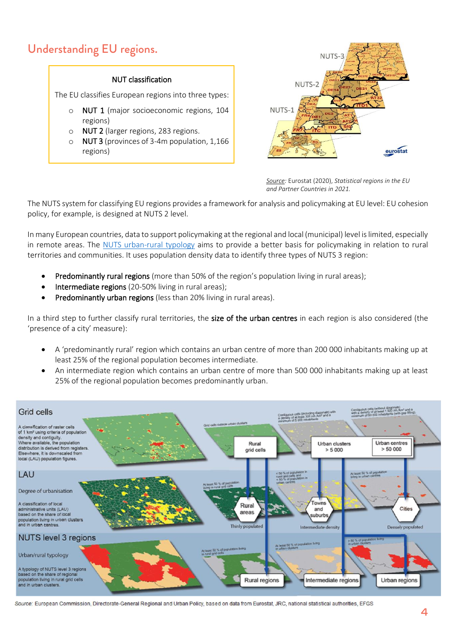### Understanding EU regions.

### NUT classification

The EU classifies European regions into three types:

- o NUT 1 (major socioeconomic regions, 104 regions)
- o NUT 2 (larger regions, 283 regions.
- o NUT 3 (provinces of 3-4m population, 1,166 regions)



*Source: Eurostat (2020) Statistical regions in the European Union Source:* Eurostat (2020), *Statistical regions in the EU and partner countries: NUTS and statistical regions 2021 and Partner Countries in 2021.*

The NUTS system for classifying EU regions provides a framework for analysis and policymaking at EU level: EU cohesion policy, for example, is designed at NUTS 2 level.

In many European countries, data to support policymaking at the regional and local (municipal) level is limited, especially in remote areas. The [NUTS urban-rural typology](https://eur-lex.europa.eu/legal-content/EN/TXT/PDF/) aims to provide a better basis for policymaking in relation to rural territories and communities. It uses population density data to identify three types of NUTS 3 region:

- Predominantly rural regions (more than 50% of the region's population living in rural areas);
- Intermediate regions (20-50% living in rural areas);
- Predominantly urban regions (less than 20% living in rural areas).

In a third step to further classify rural territories, the size of the urban centres in each region is also considered (the 'presence of a city' measure):

- A 'predominantly rural' region which contains an urban centre of more than 200 000 inhabitants making up at least 25% of the regional population becomes intermediate.
- An intermediate region which contains an urban centre of more than 500 000 inhabitants making up at least 25% of the regional population becomes predominantly urban.



Source: European Commission, Directorate-General Regional and Urban Policy, based on data from Eurostat, JRC, national statistical authorities, EFGS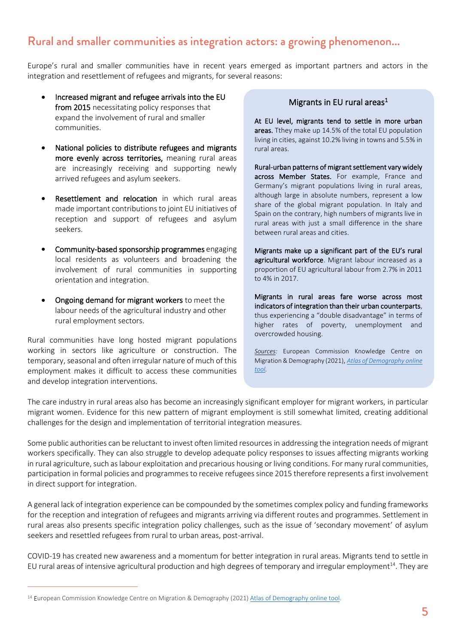### Rural and smaller communities as integration actors: a growing phenomenon...

Europe's rural and smaller communities have in recent years emerged as important partners and actors in the integration and resettlement of refugees and migrants, for several reasons:

- Increased migrant and refugee arrivals into the EU from 2015 necessitating policy responses that expand the involvement of rural and smaller communities.
- National policies to distribute refugees and migrants more evenly across territories, meaning rural areas are increasingly receiving and supporting newly arrived refugees and asylum seekers.
- Resettlement and relocation in which rural areas made important contributions to joint EU initiatives of reception and support of refugees and asylum seekers.
- Community-based sponsorship programmes engaging local residents as volunteers and broadening the involvement of rural communities in supporting orientation and integration.
- Ongoing demand for migrant workers to meet the labour needs of the agricultural industry and other rural employment sectors.

Rural communities have long hosted migrant populations working in sectors like agriculture or construction. The temporary, seasonal and often irregular nature of much of this employment makes it difficult to access these communities and develop integration interventions.

#### Migrants in EU rural areas<sup>1</sup>

At EU level, migrants tend to settle in more urban areas. Tthey make up 14.5% of the total EU population living in cities, against 10.2% living in towns and 5.5% in rural areas.

Rural-urban patterns of migrant settlement vary widely across Member States. For example, France and Germany's migrant populations living in rural areas, although large in absolute numbers, represent a low share of the global migrant population. In Italy and Spain on the contrary, high numbers of migrants live in rural areas with just a small difference in the share between rural areas and cities.

Migrants make up a significant part of the EU's rural agricultural workforce. Migrant labour increased as a proportion of EU agricultural labour from 2.7% in 2011 to 4% in 2017.

Migrants in rural areas fare worse across most indicators of integration than their urban counterparts, thus experiencing a "double disadvantage" in terms of higher rates of poverty, unemployment and overcrowded housing.

*Sources:* European Commission Knowledge Centre on Migration & Demography (2021), *[Atlas of Demography online](https://migration-demography-tools.jrc.ec.europa.eu/atlas-demography)  [tool.](https://migration-demography-tools.jrc.ec.europa.eu/atlas-demography)* 

The care industry in rural areas also has become an increasingly significant employer for migrant workers, in particular migrant women. Evidence for this new pattern of migrant employment is still somewhat limited, creating additional challenges for the design and implementation of territorial integration measures.

Some public authorities can be reluctant to invest often limited resources in addressing the integration needs of migrant workers specifically. They can also struggle to develop adequate policy responses to issues affecting migrants working in rural agriculture, such as labour exploitation and precarious housing or living conditions. For many rural communities, participation in formal policies and programmes to receive refugees since 2015 therefore represents a first involvement in direct support for integration.

A general lack of integration experience can be compounded by the sometimes complex policy and funding frameworks for the reception and integration of refugees and migrants arriving via different routes and programmes. Settlement in rural areas also presents specific integration policy challenges, such as the issue of 'secondary movement' of asylum seekers and resettled refugees from rural to urban areas, post-arrival.

COVID-19 has created new awareness and a momentum for better integration in rural areas. Migrants tend to settle in EU rural areas of intensive agricultural production and high degrees of temporary and irregular employment<sup>14</sup>. They are

<sup>&</sup>lt;sup>14</sup> European Commission Knowledge Centre on Migration & Demography (2021) [Atlas of Demography online tool.](https://knowledge4policy.ec.europa.eu/atlas-demography_en)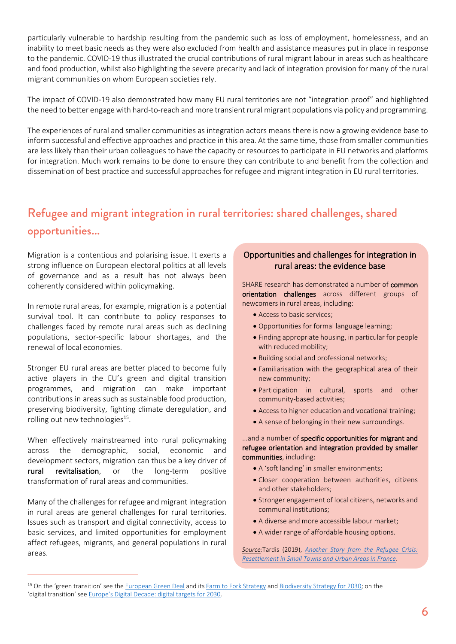particularly vulnerable to hardship resulting from the pandemic such as loss of employment, homelessness, and an inability to meet basic needs as they were also excluded from health and assistance measures put in place in response to the pandemic. COVID-19 thus illustrated the crucial contributions of rural migrant labour in areas such as healthcare and food production, whilst also highlighting the severe precarity and lack of integration provision for many of the rural migrant communities on whom European societies rely.

The impact of COVID-19 also demonstrated how many EU rural territories are not "integration proof" and highlighted the need to better engage with hard-to-reach and more transient rural migrant populations via policy and programming.

The experiences of rural and smaller communities as integration actors means there is now a growing evidence base to inform successful and effective approaches and practice in this area. At the same time, those from smaller communities are less likely than their urban colleagues to have the capacity or resources to participate in EU networks and platforms for integration. Much work remains to be done to ensure they can contribute to and benefit from the collection and dissemination of best practice and successful approaches for refugee and migrant integration in EU rural territories.

### Refugee and migrant integration in rural territories: shared challenges, shared opportunities...

Migration is a contentious and polarising issue. It exerts a strong influence on European electoral politics at all levels of governance and as a result has not always been coherently considered within policymaking.

In remote rural areas, for example, migration is a potential survival tool. It can contribute to policy responses to challenges faced by remote rural areas such as declining populations, sector-specific labour shortages, and the renewal of local economies.

Stronger EU rural areas are better placed to become fully active players in the EU's green and digital transition programmes, and migration can make important contributions in areas such as sustainable food production, preserving biodiversity, fighting climate deregulation, and rolling out new technologies<sup>15</sup>.

When effectively mainstreamed into rural policymaking across the demographic, social, economic and development sectors, migration can thus be a key driver of rural revitalisation, or the long-term positive transformation of rural areas and communities.

Many of the challenges for refugee and migrant integration in rural areas are general challenges for rural territories. Issues such as transport and digital connectivity, access to basic services, and limited opportunities for employment affect refugees, migrants, and general populations in rural areas.

### Opportunities and challenges for integration in rural areas: the evidence base

SHARE research has demonstrated a number of common orientation challenges across different groups of newcomers in rural areas, including:

- Access to basic services;
- Opportunities for formal language learning;
- Finding appropriate housing, in particular for people with reduced mobility;
- Building social and professional networks;
- Familiarisation with the geographical area of their new community;
- Participation in cultural, sports and other community-based activities;
- Access to higher education and vocational training;
- A sense of belonging in their new surroundings.

#### ...and a number of specific opportunities for migrant and refugee orientation and integration provided by smaller communities, including:

- A 'soft landing' in smaller environments;
- Closer cooperation between authorities, citizens and other stakeholders;
- Stronger engagement of local citizens, networks and communal institutions;
- A diverse and more accessible labour market;
- A wider range of affordable housing options.

*Source:*Tardis (2019), *[Another Story from the Refugee Crisis:](https://stats.oecd.org/Index.aspx)  [Resettlement in Small Towns and Urban Areas in France](https://stats.oecd.org/Index.aspx)*.

<sup>&</sup>lt;sup>15</sup> On the 'green transition' see th[e European Green Deal](https://ec.europa.eu/info/strategy/priorities-2019-2024/european-green-deal_en) and it[s Farm to Fork Strategy](https://ec.europa.eu/food/horizontal-topics/farm-fork-strategy_en) and [Biodiversity Strategy for 2030;](https://ec.europa.eu/environment/strategy/biodiversity-strategy-2030_en) on the 'digital transition' se[e Europe's Digital Decade: digital targets for 2030](https://ec.europa.eu/info/strategy/priorities-2019-2024/europe-fit-digital-age/europes-digital-decade-digital-targets-2030_en).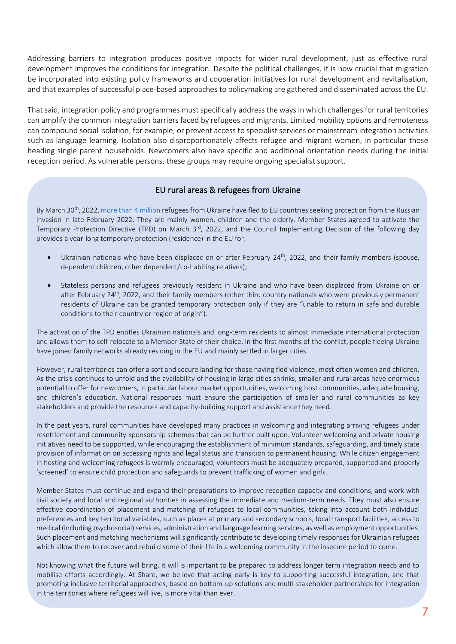Addressing barriers to integration produces positive impacts for wider rural development, just as effective rural development improves the conditions for integration. Despite the political challenges, it is now crucial that migration be incorporated into existing policy frameworks and cooperation initiatives for rural development and revitalisation, and that examples of successful place-based approaches to policymaking are gathered and disseminated across the EU.

That said, integration policy and programmes must specifically address the ways in which challenges for rural territories can amplify the common integration barriers faced by refugees and migrants. Limited mobility options and remoteness can compound social isolation, for example, or prevent access to specialist services or mainstream integration activities such as language learning. Isolation also disproportionately affects refugee and migrant women, in particular those heading single parent households. Newcomers also have specific and additional orientation needs during the initial reception period. As vulnerable persons, these groups may require ongoing specialist support.

#### EU rural areas & refugees from Ukraine

By March 30<sup>th</sup>, 2022[, more than 4 million](https://data2.unhcr.org/en/situations/ukraine) refugees from Ukraine have fled to EU countries seeking protection from the Russian invasion in late February 2022. They are mainly women, children and the elderly. Member States agreed to activate the Temporary Protection Directive (TPD) on March 3<sup>rd</sup>, 2022, and the Council Implementing Decision of the following day provides a year-long temporary protection (residence) in the EU for:

- Ukrainian nationals who have been displaced on or after February 24<sup>th</sup>, 2022, and their family members (spouse, dependent children, other dependent/co-habiting relatives);
- Stateless persons and refugees previously resident in Ukraine and who have been displaced from Ukraine on or after February 24<sup>th</sup>, 2022, and their family members (other third country nationals who were previously permanent residents of Ukraine can be granted temporary protection only if they are "unable to return in safe and durable conditions to their country or region of origin").

The activation of the TPD entitles Ukrainian nationals and long-term residents to almost immediate international protection and allows them to self-relocate to a Member State of their choice. In the first months of the conflict, people fleeing Ukraine have joined family networks already residing in the EU and mainly settled in larger cities.

However, rural territories can offer a soft and secure landing for those having fled violence, most often women and children. As the crisis continues to unfold and the availability of housing in large cities shrinks, smaller and rural areas have enormous potential to offer for newcomers, in particular labour market opportunities, welcoming host communities, adequate housing, and children's education. National responses must ensure the participation of smaller and rural communities as key stakeholders and provide the resources and capacity-building support and assistance they need.

In the past years, rural communities have developed many practices in welcoming and integrating arriving refugees under resettlement and community-sponsorship schemes that can be further built upon. Volunteer welcoming and private housing initiatives need to be supported, while encouraging the establishment of minimum standards, safeguarding, and timely state provision of information on accessing rights and legal status and transition to permanent housing. While citizen engagement in hosting and welcoming refugees is warmly encouraged, volunteers must be adequately prepared, supported and properly 'screened' to ensure child protection and safeguards to prevent trafficking of women and girls.

Member States must continue and expand their preparations to improve reception capacity and conditions, and work with civil society and local and regional authorities in assessing the immediate and medium-term needs. They must also ensure effective coordination of placement and matching of refugees to local communities, taking into account both individual preferences and key territorial variables, such as places at primary and secondary schools, local transport facilities, access to medical (including psychosocial) services, administration and language learning services, as well as employment opportunities. Such placement and matching mechanisms will significantly contribute to developing timely responses for Ukrainian refugees which allow them to recover and rebuild some of their life in a welcoming community in the insecure period to come.

Not knowing what the future will bring, it will is important to be prepared to address longer term integration needs and to mobilise efforts accordingly. At Share, we believe that acting early is key to supporting successful integration, and that promoting inclusive territorial approaches, based on bottom-up solutions and multi-stakeholder partnerships for integration in the territories where refugees will live, is more vital than ever.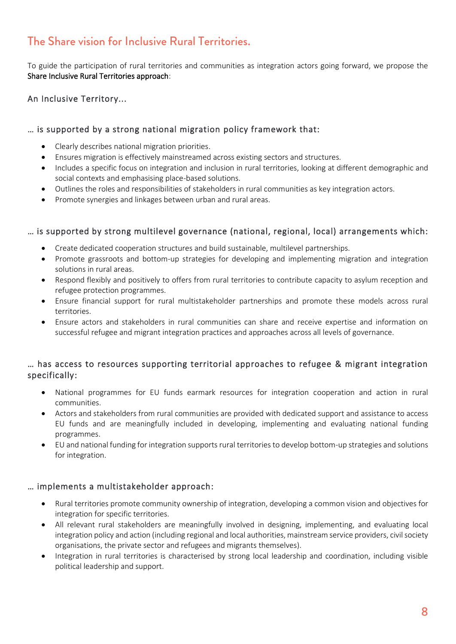### The Share vision for Inclusive Rural Territories.

To guide the participation of rural territories and communities as integration actors going forward, we propose the Share Inclusive Rural Territories approach:

### An Inclusive Territory...

### … is supported by a strong national migration policy framework that:

- Clearly describes national migration priorities.
- Ensures migration is effectively mainstreamed across existing sectors and structures.
- Includes a specific focus on integration and inclusion in rural territories, looking at different demographic and social contexts and emphasising place-based solutions.
- Outlines the roles and responsibilities of stakeholders in rural communities as key integration actors.
- Promote synergies and linkages between urban and rural areas.

### … is supported by strong multilevel governance (national, regional, local) arrangements which:

- Create dedicated cooperation structures and build sustainable, multilevel partnerships.
- Promote grassroots and bottom-up strategies for developing and implementing migration and integration solutions in rural areas.
- Respond flexibly and positively to offers from rural territories to contribute capacity to asylum reception and refugee protection programmes.
- Ensure financial support for rural multistakeholder partnerships and promote these models across rural territories.
- Ensure actors and stakeholders in rural communities can share and receive expertise and information on successful refugee and migrant integration practices and approaches across all levels of governance.

### … has access to resources supporting territorial approaches to refugee & migrant integration specifically:

- National programmes for EU funds earmark resources for integration cooperation and action in rural communities.
- Actors and stakeholders from rural communities are provided with dedicated support and assistance to access EU funds and are meaningfully included in developing, implementing and evaluating national funding programmes.
- EU and national funding for integration supports rural territories to develop bottom-up strategies and solutions for integration.

### … implements a multistakeholder approach:

- Rural territories promote community ownership of integration, developing a common vision and objectives for integration for specific territories.
- All relevant rural stakeholders are meaningfully involved in designing, implementing, and evaluating local integration policy and action (including regional and local authorities, mainstream service providers, civil society organisations, the private sector and refugees and migrants themselves).
- Integration in rural territories is characterised by strong local leadership and coordination, including visible political leadership and support.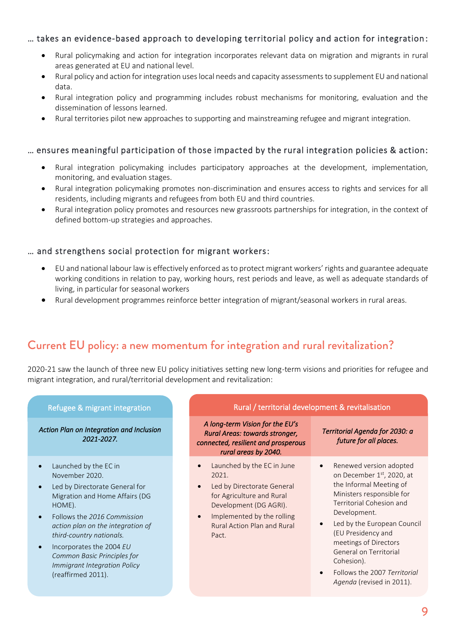### … takes an evidence-based approach to developing territorial policy and action for integration :

- Rural policymaking and action for integration incorporates relevant data on migration and migrants in rural areas generated at EU and national level.
- Rural policy and action for integration uses local needs and capacity assessments to supplement EU and national data.
- Rural integration policy and programming includes robust mechanisms for monitoring, evaluation and the dissemination of lessons learned.
- Rural territories pilot new approaches to supporting and mainstreaming refugee and migrant integration.

#### … ensures meaningful participation of those impacted by the rural integration policies & action:

- Rural integration policymaking includes participatory approaches at the development, implementation, monitoring, and evaluation stages.
- Rural integration policymaking promotes non-discrimination and ensures access to rights and services for all residents, including migrants and refugees from both EU and third countries.
- Rural integration policy promotes and resources new grassroots partnerships for integration, in the context of defined bottom-up strategies and approaches.

#### … and strengthens social protection for migrant workers:

- EU and national labour law is effectively enforced as to protect migrant workers' rights and guarantee adequate working conditions in relation to pay, working hours, rest periods and leave, as well as adequate standards of living, in particular for seasonal workers
- Rural development programmes reinforce better integration of migrant/seasonal workers in rural areas.

### Current EU policy: a new momentum for integration and rural revitalization?

2020-21 saw the launch of three new EU policy initiatives setting new long-term visions and priorities for refugee and migrant integration, and rural/territorial development and revitalization:

*Action Plan on Integration and Inclusion 2021-2027.* 

- Launched by the EC in November 2020.
- Led by Directorate General for Migration and Home Affairs (DG HOME).
- Follows the *2016 Commission action plan on the integration of third-country nationals.*
- Incorporates the 2004 *EU Common Basic Principles for Immigrant Integration Policy* (reaffirmed 2011).

#### Refugee & migrant integration **Rural / territorial development & revitalisation**

*A long-term Vision for the EU's Rural Areas: towards stronger, connected, resilient and prosperous rural areas by 2040.* 

- Launched by the EC in June 2021.
- Led by Directorate General for Agriculture and Rural Development (DG AGRI).
- Implemented by the rolling Rural Action Plan and Rural Pact.

#### *Territorial Agenda for 2030: a future for all places.*

- Renewed version adopted on December 1st, 2020, at the Informal Meeting of Ministers responsible for Territorial Cohesion and Development.
- Led by the European Council (EU Presidency and meetings of Directors General on Territorial Cohesion).
- Follows the 2007 *Territorial Agenda* (revised in 2011).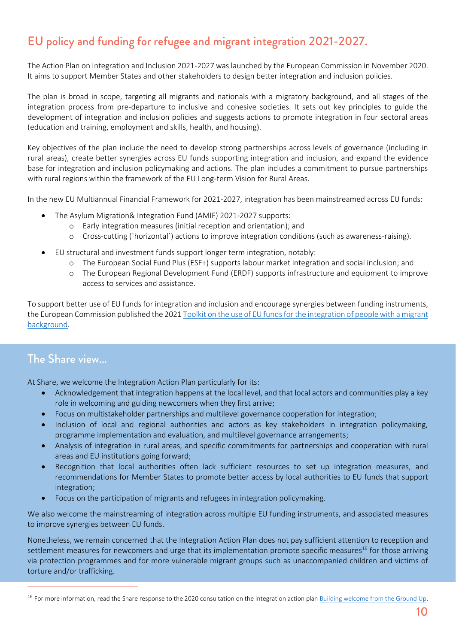### EU policy and funding for refugee and migrant integration 2021-2027.

The Action Plan on Integration and Inclusion 2021-2027 was launched by the European Commission in November 2020. It aims to support Member States and other stakeholders to design better integration and inclusion policies.

The plan is broad in scope, targeting all migrants and nationals with a migratory background, and all stages of the integration process from pre-departure to inclusive and cohesive societies. It sets out key principles to guide the development of integration and inclusion policies and suggests actions to promote integration in four sectoral areas (education and training, employment and skills, health, and housing).

Key objectives of the plan include the need to develop strong partnerships across levels of governance (including in rural areas), create better synergies across EU funds supporting integration and inclusion, and expand the evidence base for integration and inclusion policymaking and actions. The plan includes a commitment to pursue partnerships with rural regions within the framework of the EU Long-term Vision for Rural Areas.

In the new EU Multiannual Financial Framework for 2021-2027, integration has been mainstreamed across EU funds:

- The Asylum Migration& Integration Fund (AMIF) 2021-2027 supports:
	- o Early integration measures (initial reception and orientation); and
	- o Cross-cutting (`horizontal`) actions to improve integration conditions (such as awareness-raising).
- EU structural and investment funds support longer term integration, notably:
	- o The European Social Fund Plus (ESF+) supports labour market integration and social inclusion; and
	- o The European Regional Development Fund (ERDF) supports infrastructure and equipment to improve access to services and assistance.

To support better use of EU funds for integration and inclusion and encourage synergies between funding instruments, the European Commission published the 202[1 Toolkit on the use of EU funds for the integration of people with a migrant](https://www.ifri.org/sites/default/files/atoms/files/tardis_refugees_small_towns_france_2019.pdf)  [background.](https://www.ifri.org/sites/default/files/atoms/files/tardis_refugees_small_towns_france_2019.pdf)

### The Share view…

At Share, we welcome the Integration Action Plan particularly for its:

- Acknowledgement that integration happens at the local level, and that local actors and communities play a key role in welcoming and guiding newcomers when they first arrive;
- Focus on multistakeholder partnerships and multilevel governance cooperation for integration;
- Inclusion of local and regional authorities and actors as key stakeholders in integration policymaking, programme implementation and evaluation, and multilevel governance arrangements;
- Analysis of integration in rural areas, and specific commitments for partnerships and cooperation with rural areas and EU institutions going forward;
- Recognition that local authorities often lack sufficient resources to set up integration measures, and recommendations for Member States to promote better access by local authorities to EU funds that support integration;
- Focus on the participation of migrants and refugees in integration policymaking.

We also welcome the mainstreaming of integration across multiple EU funding instruments, and associated measures to improve synergies between EU funds.

Nonetheless, we remain concerned that the Integration Action Plan does not pay sufficient attention to reception and settlement measures for newcomers and urge that its implementation promote specific measures<sup>16</sup> for those arriving via protection programmes and for more vulnerable migrant groups such as unaccompanied children and victims of torture and/or trafficking.

<sup>&</sup>lt;sup>16</sup> For more information, read the Share response to the 2020 consultation on the integration action pla[n Building welcome from the Ground Up.](http://resettlement.eu/sites/icmc/files/SHARE%20Network%20contribution_IAPlan%20EC%20consultation_Oct%2020.pdf)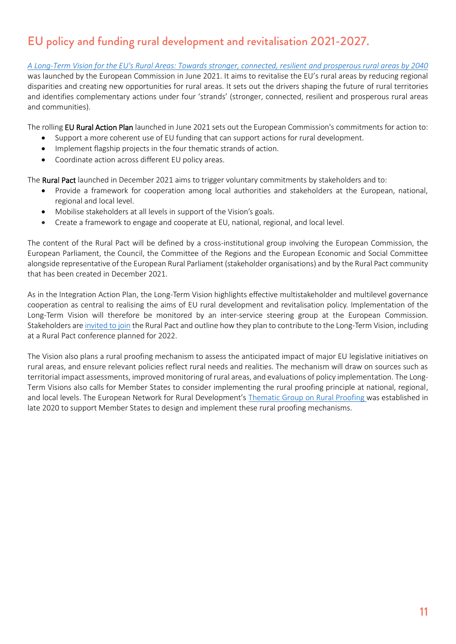### EU policy and funding rural development and revitalisation 2021-2027.

*A Long-Term [Vision for the EU's Rural Areas: Towards stronger, connected, resilient](https://enrd.ec.europa.eu/sites/default/files/publi-eafrd-brochure-03-en_2016.pdf) and prosperous rural areas by 2040* was launched by the European Commission in June 2021. It aims to revitalise the EU's rural areas by reducing regional disparities and creating new opportunities for rural areas. It sets out the drivers shaping the future of rural territories and identifies complementary actions under four 'strands' (stronger, connected, resilient and prosperous rural areas and communities).

The rolling EU Rural Action Plan launched in June 2021 sets out the European Commission's commitments for action to:

- Support a more coherent use of EU funding that can support actions for rural development.
- Implement flagship projects in the four thematic strands of action.
- Coordinate action across different EU policy areas.

The **Rural Pact** launched in December 2021 aims to trigger voluntary commitments by stakeholders and to:

- Provide a framework for cooperation among local authorities and stakeholders at the European, national, regional and local level.
- Mobilise stakeholders at all levels in support of the Vision's goals.
- Create a framework to engage and cooperate at EU, national, regional, and local level.

The content of the Rural Pact will be defined by a cross-institutional group involving the European Commission, the European Parliament, the Council, the Committee of the Regions and the European Economic and Social Committee alongside representative of the European Rural Parliament (stakeholder organisations) and by the Rural Pact community that has been created in December 2021.

As in the Integration Action Plan, the Long-Term Vision highlights effective multistakeholder and multilevel governance cooperation as central to realising the aims of EU rural development and revitalisation policy. Implementation of the Long-Term Vision will therefore be monitored by an inter-service steering group at the European Commission. Stakeholders are [invited to join](https://ec.europa.eu/eusurvey/runner/RuralPact) the Rural Pact and outline how they plan to contribute to the Long-Term Vision, including at a Rural Pact conference planned for 2022.

The Vision also plans a rural proofing mechanism to assess the anticipated impact of major EU legislative initiatives on rural areas, and ensure relevant policies reflect rural needs and realities. The mechanism will draw on sources such as territorial impact assessments, improved monitoring of rural areas, and evaluations of policy implementation. The Long-Term Visions also calls for Member States to consider implementing the rural proofing principle at national, regional, and local levels. The European Network for Rural Development's [Thematic Group on](https://gef.eu/publication/guide-eu-funding-migration-asylum/) Rural Proofing was established in late 2020 to support Member States to design and implement these rural proofing mechanisms.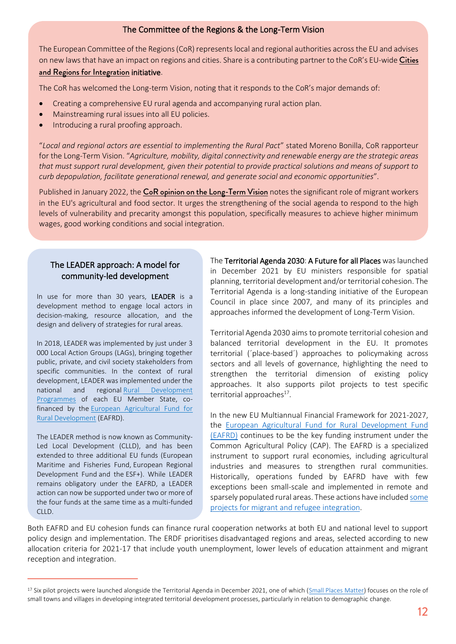### The Committee of the Regions & the Long-Term Vision

The European Committee of the Regions (CoR) represents local and regional authorities across the EU and advises on new laws that have an impact on regions and cities. Share is a contributing partner to the CoR's EU-wide Cities

#### [and Regions for Integration](https://cor.europa.eu/en/our-work/Pages/cities-and-regions-for-integration.aspx) initiative.

The CoR has welcomed the Long-term Vision, noting that it responds to the CoR's major demands of:

- Creating a comprehensive EU rural agenda and accompanying rural action plan.
- Mainstreaming rural issues into all EU policies.
- Introducing a rural proofing approach.

"*Local and regional actors are essential to implementing the Rural Pact*" stated Moreno Bonilla, CoR rapporteur for the Long-Term Vision. "*Agriculture, mobility, digital connectivity and renewable energy are the strategic areas that must support rural development, given their potential to provide practical solutions and means of support to curb depopulation, facilitate generational renewal, and generate social and economic opportunities*".

Published in January 2022, the [CoR opinion on the Long-Term](https://cor.europa.eu/en/news/Pages/recovery-rural-areas.aspx) Vision notes the significant role of migrant workers in the EU's agricultural and food sector. It urges the strengthening of the social agenda to respond to the high levels of vulnerability and precarity amongst this population, specifically measures to achieve higher minimum wages, good working conditions and social integration.

### The LEADER approach: A model for community-led development

In use for more than 30 years, LEADER is a development method to engage local actors in decision-making, resource allocation, and the design and delivery of strategies for rural areas.

In 2018, LEADER was implemented by just under 3 000 Local Action Groups (LAGs), bringing together public, private, and civil society stakeholders from specific communities. In the context of rural development, LEADER was implemented under the national and regional Rural Development [Programmes](http://resettlement.eu/sites/icmc/files/SHARE%20Network%20contribution_IAPlan%20EC%20consultation_Oct%2020.pdf) of each EU Member State, cofinanced by the **European Agricultural Fund for** [Rural Development](https://eur-lex.europa.eu/legal-content/EN/TXT/PDF/) (EAFRD).

The LEADER method is now known as Community-Led Local Development (CLLD), and has been extended to three additional EU funds (European Maritime and Fisheries Fund, European Regional Development Fund and the ESF+). While LEADER remains obligatory under the EAFRD, a LEADER action can now be supported under two or more of the four funds at the same time as a multi-funded  $CIII$ 

The Territorial Agenda 2030: A Future for all Places was launched in December 2021 by EU ministers responsible for spatial planning, territorial development and/or territorial cohesion. The Territorial Agenda is a long-standing initiative of the European Council in place since 2007, and many of its principles and approaches informed the development of Long-Term Vision.

Territorial Agenda 2030 aims to promote territorial cohesion and balanced territorial development in the EU. It promotes territorial (´place-based´) approaches to policymaking across sectors and all levels of governance, highlighting the need to strengthen the territorial dimension of existing policy approaches. It also supports pilot projects to test specific territorial approaches<sup>17</sup>.

In the new EU Multiannual Financial Framework for 2021-2027, the [European Agricultural Fund for Rural Development Fund](http://www.resettlement.eu/sites/icmc/files/Szabo_DG%20AGRI.pdf)  [\(EAFRD\)](http://www.resettlement.eu/sites/icmc/files/Szabo_DG%20AGRI.pdf) continues to be the key funding instrument under the Common Agricultural Policy (CAP). The EAFRD is a specialized instrument to support rural economies, including agricultural industries and measures to strengthen rural communities. Historically, operations funded by EAFRD have with few exceptions been small-scale and implemented in remote and sparsely populated rural areas. These actions have include[d some](https://matilde-migration.eu/wp-content/uploads/2020/08/MATILDE_D21_Classification_on_spatial_specificities_and_TCNs_distribution_040820.pdf)  [projects for migrant and refugee integration.](https://matilde-migration.eu/wp-content/uploads/2020/08/MATILDE_D21_Classification_on_spatial_specificities_and_TCNs_distribution_040820.pdf)

Both EAFRD and EU cohesion funds can finance rural cooperation networks at both EU and national level to support policy design and implementation. The ERDF prioritises disadvantaged regions and areas, selected according to new allocation criteria for 2021-17 that include youth unemployment, lower levels of education attainment and migrant reception and integration.

<sup>&</sup>lt;sup>17</sup> Six pilot projects were launched alongside the Territorial Agenda in December 2021, one of which [\(Small Places Matter\)](https://territorialagenda.eu/pilot-actions/small-places-matter/) focuses on the role of small towns and villages in developing integrated territorial development processes, particularly in relation to demographic change.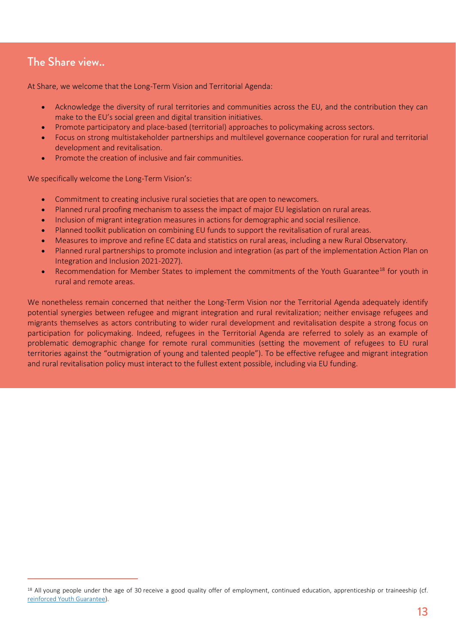### The Share view..

At Share, we welcome that the Long-Term Vision and Territorial Agenda:

- Acknowledge the diversity of rural territories and communities across the EU, and the contribution they can make to the EU's social green and digital transition initiatives.
- Promote participatory and place-based (territorial) approaches to policymaking across sectors.
- Focus on strong multistakeholder partnerships and multilevel governance cooperation for rural and territorial development and revitalisation.
- Promote the creation of inclusive and fair communities.

We specifically welcome the Long-Term Vision's:

- Commitment to creating inclusive rural societies that are open to newcomers.
- Planned rural proofing mechanism to assess the impact of major EU legislation on rural areas.
- Inclusion of migrant integration measures in actions for demographic and social resilience.
- Planned toolkit publication on combining EU funds to support the revitalisation of rural areas.
- Measures to improve and refine EC data and statistics on rural areas, including a new Rural Observatory.
- Planned rural partnerships to promote inclusion and integration (as part of the implementation Action Plan on Integration and Inclusion 2021-2027).
- Recommendation for Member States to implement the commitments of the Youth Guarantee<sup>18</sup> for youth in rural and remote areas.

We nonetheless remain concerned that neither the Long-Term Vision nor the Territorial Agenda adequately identify potential synergies between refugee and migrant integration and rural revitalization; neither envisage refugees and migrants themselves as actors contributing to wider rural development and revitalisation despite a strong focus on participation for policymaking. Indeed, refugees in the Territorial Agenda are referred to solely as an example of problematic demographic change for remote rural communities (setting the movement of refugees to EU rural territories against the "outmigration of young and talented people"). To be effective refugee and migrant integration and rural revitalisation policy must interact to the fullest extent possible, including via EU funding.

<sup>&</sup>lt;sup>18</sup> All young people under the age of 30 receive a good quality offer of employment, continued education, apprenticeship or traineeship (cf. [reinforced Youth Guarantee\)](https://ec.europa.eu/social/main.jsp?catId=1079&langId=en).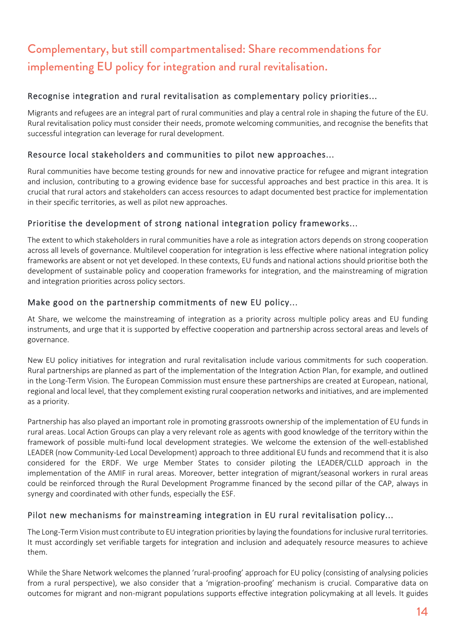## Complementary, but still compartmentalised: Share recommendations for implementing EU policy for integration and rural revitalisation.

### Recognise integration and rural revitalisation as complementary policy priorities...

Migrants and refugees are an integral part of rural communities and play a central role in shaping the future of the EU. Rural revitalisation policy must consider their needs, promote welcoming communities, and recognise the benefits that successful integration can leverage for rural development.

### Resource local stakeholders and communities to pilot new approaches...

Rural communities have become testing grounds for new and innovative practice for refugee and migrant integration and inclusion, contributing to a growing evidence base for successful approaches and best practice in this area. It is crucial that rural actors and stakeholders can access resources to adapt documented best practice for implementation in their specific territories, as well as pilot new approaches.

### Prioritise the development of strong national integration policy frameworks...

The extent to which stakeholders in rural communities have a role as integration actors depends on strong cooperation across all levels of governance. Multilevel cooperation for integration is less effective where national integration policy frameworks are absent or not yet developed. In these contexts, EU funds and national actions should prioritise both the development of sustainable policy and cooperation frameworks for integration, and the mainstreaming of migration and integration priorities across policy sectors.

### Make good on the partnership commitments of new EU policy...

At Share, we welcome the mainstreaming of integration as a priority across multiple policy areas and EU funding instruments, and urge that it is supported by effective cooperation and partnership across sectoral areas and levels of governance.

New EU policy initiatives for integration and rural revitalisation include various commitments for such cooperation. Rural partnerships are planned as part of the implementation of the Integration Action Plan, for example, and outlined in the Long-Term Vision. The European Commission must ensure these partnerships are created at European, national, regional and local level, that they complement existing rural cooperation networks and initiatives, and are implemented as a priority.

Partnership has also played an important role in promoting grassroots ownership of the implementation of EU funds in rural areas. Local Action Groups can play a very relevant role as agents with good knowledge of the territory within the framework of possible multi-fund local development strategies. We welcome the extension of the well-established LEADER (now Community-Led Local Development) approach to three additional EU funds and recommend that it is also considered for the ERDF. We urge Member States to consider piloting the LEADER/CLLD approach in the implementation of the AMIF in rural areas. Moreover, better integration of migrant/seasonal workers in rural areas could be reinforced through the Rural Development Programme financed by the second pillar of the CAP, always in synergy and coordinated with other funds, especially the ESF.

### Pilot new mechanisms for mainstreaming integration in EU rural revitalisation policy...

The Long-Term Vision must contribute to EU integration priorities by laying the foundations for inclusive rural territories. It must accordingly set verifiable targets for integration and inclusion and adequately resource measures to achieve them.

While the Share Network welcomes the planned 'rural-proofing' approach for EU policy (consisting of analysing policies from a rural perspective), we also consider that a 'migration-proofing' mechanism is crucial. Comparative data on outcomes for migrant and non-migrant populations supports effective integration policymaking at all levels. It guides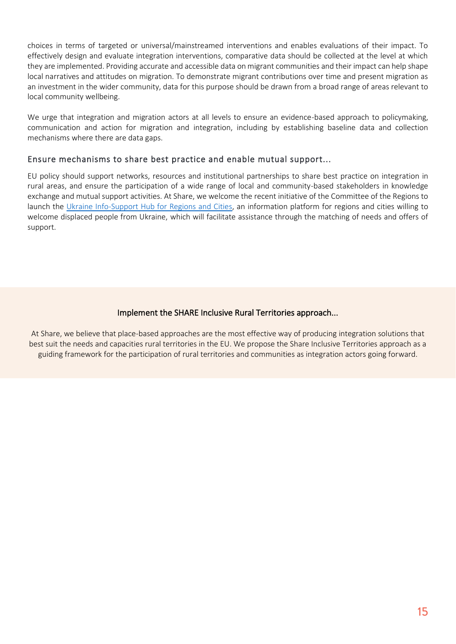choices in terms of targeted or universal/mainstreamed interventions and enables evaluations of their impact. To effectively design and evaluate integration interventions, comparative data should be collected at the level at which they are implemented. Providing accurate and accessible data on migrant communities and their impact can help shape local narratives and attitudes on migration. To demonstrate migrant contributions over time and present migration as an investment in the wider community, data for this purpose should be drawn from a broad range of areas relevant to local community wellbeing.

We urge that integration and migration actors at all levels to ensure an evidence-based approach to policymaking, communication and action for migration and integration, including by establishing baseline data and collection mechanisms where there are data gaps.

### Ensure mechanisms to share best practice and enable mutual support...

EU policy should support networks, resources and institutional partnerships to share best practice on integration in rural areas, and ensure the participation of a wide range of local and community-based stakeholders in knowledge exchange and mutual support activities. At Share, we welcome the recent initiative of the Committee of the Regions to launch the [Ukraine Info-Support Hub for Regions and Cities,](https://cor.europa.eu/en/engage/Pages/Help-Ukraine-Info-Support-Hub-for-Regions-and-Cities.aspx) an information platform for regions and cities willing to welcome displaced people from Ukraine, which will facilitate assistance through the matching of needs and offers of support.

#### Implement the SHARE Inclusive Rural Territories approach...

At Share, we believe that place-based approaches are the most effective way of producing integration solutions that best suit the needs and capacities rural territories in the EU. We propose the Share Inclusive Territories approach as a guiding framework for the participation of rural territories and communities as integration actors going forward.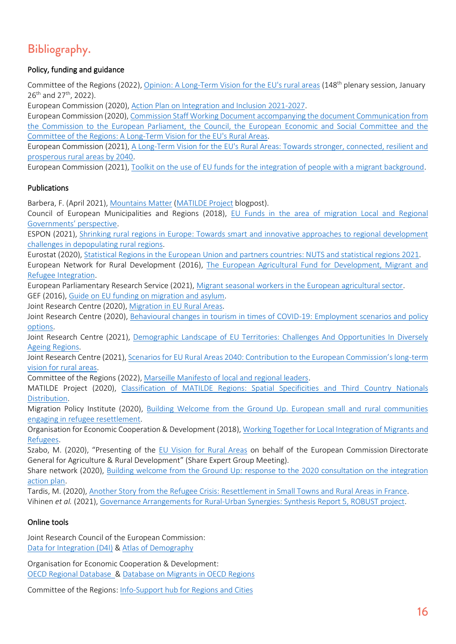### Bibliography.

### Policy, funding and guidance

Committee of the Regions (2022), [Opinion: A Long-Term Vision](https://cor.europa.eu/EN/our-work/Pages/OpinionTimeline.aspx?opId=CDR-3533-2021) for the EU's rural areas (148th plenary session, January 26<sup>th</sup> and 27<sup>th</sup>, 2022).

European Commission (2020), [Action Plan on Integration and Inclusion 2021-2027.](https://matilde-migration.eu/?uri=CELEX:52020DC0758&from=EN)

European Commission (2020), [Commission Staff Working Document accompanying the document Communication from](https://migration-demography-tools.jrc.ec.europa.eu/atlas-demography/?uri=cellar:85c42627-da52-11eb-895a-01aa75ed71a1.0001.02/DOC_1&format=PDF)  [the Commission to the European Parliament, the Council, the European](https://migration-demography-tools.jrc.ec.europa.eu/atlas-demography/?uri=cellar:85c42627-da52-11eb-895a-01aa75ed71a1.0001.02/DOC_1&format=PDF) Economic and Social Committee and the [Committee of the Regions: A Long-Term](https://migration-demography-tools.jrc.ec.europa.eu/atlas-demography/?uri=cellar:85c42627-da52-11eb-895a-01aa75ed71a1.0001.02/DOC_1&format=PDF) Vision for the EU's Rural Areas.

European Commission (2021), A Long-Term [Vision for the EU's Rural Areas: Towards stronger, connected, resilient and](https://ec.europa.eu/info/strategy/priorities-2019-2024/new-push-european-democracy/long-term-vision-rural-areas_en)  [prosperous rural areas by 2040.](https://ec.europa.eu/info/strategy/priorities-2019-2024/new-push-european-democracy/long-term-vision-rural-areas_en)

European Commission (2021), [Toolkit on the use of EU funds for the integration of people with a migrant background.](https://ec.europa.eu/info/food-farming-fisheries/key-policies/common-agricultural-policy/rural-development)

### Publications

Barbera, F. (April 2021), [Mountains Matter](https://ec.europa.eu/info/strategy/priorities-2019-2024/new-push-european-democracy/long-term-vision-rural-areas_en) [\(MATILDE Project](https://ec.europa.eu/eurostat/web/rural-development/methodology) blogpost).

Council of European Municipalities and Regions (2018), [EU Funds in the area of migration Local and Regional](https://enrd.ec.europa.eu/sites/default/files/publi-eafrd-brochure-03-en_2016.pdf)  [Governments' perspective](https://enrd.ec.europa.eu/sites/default/files/publi-eafrd-brochure-03-en_2016.pdf).

ESPON (2021), [Shrinking rural regions in Europe: Towards smart and innovative approaches to regional development](https://www.ifri.org/sites/default/files/atoms/files/tardis_refugees_small_towns_france_2019.pdf)  [challenges in depopulating rural regions.](https://www.ifri.org/sites/default/files/atoms/files/tardis_refugees_small_towns_france_2019.pdf)

Eurostat (2020), [Statistical Regions in the European Union and partners countries: NUTS and statistical regions 2021.](http://resettlement.eu/sites/icmc/files/SHARE%20publication_Resettlement%20in%20Small%20Towns%20and%20Rural%20Areas%20in%20France%202019_EN_0.pdf?t=1591285035000) European Network for Rural Development (2016), [The European Agricultural Fund for Development, Migrant and](https://ec.europa.eu/info/food-farming-fisheries/key-policies/common-agricultural-policy/rural-development)  [Refugee Integration.](https://ec.europa.eu/info/food-farming-fisheries/key-policies/common-agricultural-policy/rural-development)

European Parliamentary Research Service (2021), [Migrant seasonal workers in the European agricultural sector.](https://www.europarl.europa.eu/thinktank/en/document/EPRS_BRI(2021)689347) GEF (2016), [Guide on EU funding on migration and asylum.](https://www.espon.eu/sites/default/files/attachments/ESPON%20Policy%20Brief%20on%20Shrinking%20Rural%20Regions.pdf)

Joint Research Centre (2020), [Migration in EU Rural Areas.](https://ec.europa.eu/eurostat/documents/3859598/10967554/KS-GQ-20-092-EN-N.pdf/9d57ae79-3ee7-3c14-da3e-34726da385cf)

Joint Research Centre (2020), [Behavioural changes in tourism in times of COVID-19: Employment scenarios and policy](https://ec.europa.eu/info/food-farming-fisheries/key-policies/common-agricultural-policy/rural-development/country)  [options.](https://ec.europa.eu/info/food-farming-fisheries/key-policies/common-agricultural-policy/rural-development/country)

Joint Research Centre (2021), Demographic Landscape of EU Territories: Challenges And Opportunities In Diversely [Ageing Regions.](https://www.oecd-ilibrary.org/docserver/9789264085350-en.pdf)

Joint Research Centre (2021), [Scenarios for EU Rural Areas 2040: Contribution to the European Commission's long](https://eur-lex.europa.eu/resource.html)-term [vision for rural areas.](https://eur-lex.europa.eu/resource.html)

Committee of the Regions (2022), [Marseille Manifesto of local and regional leaders.](file:///C:/Users/rmw/Desktop/2022%20SIRA%20policy%20brief/1%20building%20inclusive%20territories/drafting/)

MATILDE Project (2020), [Classification of MATILDE Regions: Spatial Specificities and Third Country Nationals](https://ec.europa.eu/regional_policy/en/information/publications/guides/2018/toolkit-on-the-use-of-eu-funds-for-the-integration-of-people-with-a-migrant-background)  [Distribution.](https://ec.europa.eu/regional_policy/en/information/publications/guides/2018/toolkit-on-the-use-of-eu-funds-for-the-integration-of-people-with-a-migrant-background)

Migration Policy Institute (2020), [Building Welcome from the Ground Up. European small and rural communities](http://nuevossenderos.es/)  [engaging in refugee resettlement.](http://nuevossenderos.es/)

Organisation for Economic Cooperation & Development (2018), [Working Together for Local Integration of Migrants and](https://enrd.ec.europa.eu/news-events/events/1st-meeting-enrd-thematic-group-rural-proofing_en?expires=1628003182&id=id&accname=guest&checksum=4749E569F8AFA0F01DA89FD937B9245B)  [Refugees.](https://enrd.ec.europa.eu/news-events/events/1st-meeting-enrd-thematic-group-rural-proofing_en?expires=1628003182&id=id&accname=guest&checksum=4749E569F8AFA0F01DA89FD937B9245B)

Szabo, M. (2020), "Presenting of the [EU Vision for Rural Areas](https://ec.europa.eu/regional_policy/en/information/publications/guides/2018/toolkit-on-the-use-of-eu-funds-for-the-integration-of-people-with-a-migrant-background) on behalf of the European Commission Directorate General for Agriculture & Rural Development" (Share Expert Group Meeting).

Share network (2020), [Building welcome from the Ground Up: response to the 2020 consultation on the integration](https://publications.jrc.ec.europa.eu/repository/handle/JRC121262)  [action plan.](https://publications.jrc.ec.europa.eu/repository/handle/JRC121262)

Tardis, M. (2020), [Another Story from the Refugee Crisis: Resettlement in Small Towns and Rural Areas in France.](https://stats.oecd.org/Index.aspx) Vihinen *et al.* (2021), [Governance Arrangements for Rural-Urban Synergies: Synthesis Report 5, ROBUST project.](https://ccre.org/img/uploads/piecesjointe/filename/CEMR_Response_to_the_consultation_on_EU_Funds_final_EN.pdf)

### Online tools

Joint Research Council of the European Commission: [Data for Integration \(D4I\)](https://matilde-migration.eu/) & [Atlas of Demography](https://publications.jrc.ec.europa.eu/repository/handle/JRC116919)

Organisation for Economic Cooperation & Development: [OECD Regional Database](https://matilde-migration.eu/blog/mountains-matter/?DataSetCode=REGION_DEMOGR) & [Database on Migrants in OECD Regions](https://ec.europa.eu/info/food-farming-fisheries/key-policies/common-agricultural-policy/rural-development?DataSetCode=REGION_MIGRANTS)

Committee of the Regions: [Info-Support hub for Regions and Cities](https://cor.europa.eu/en/engage/Pages/Help-Ukraine-Info-Support-Hub-for-Regions-and-Cities.aspx)